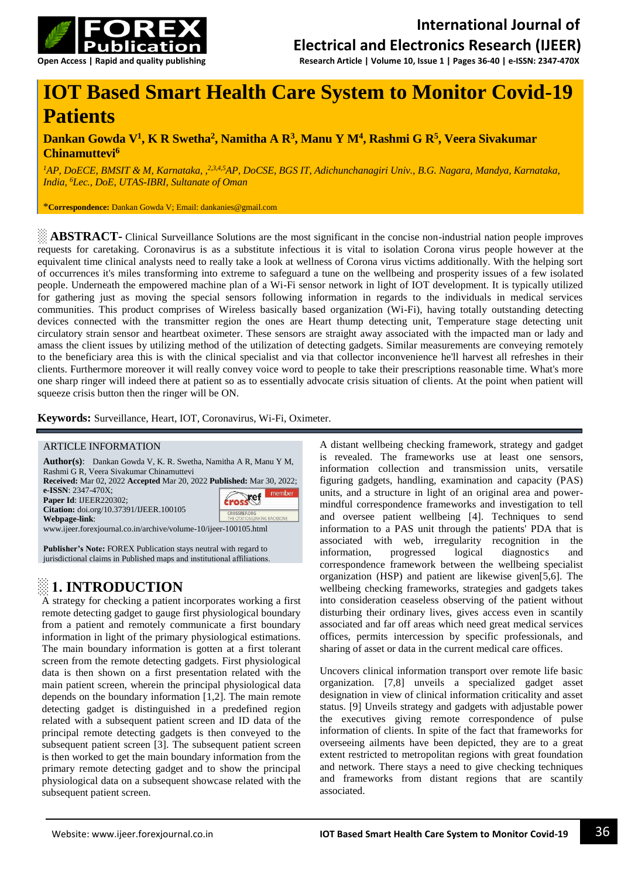

# **IOT Based Smart Health Care System to Monitor Covid-19 Patients**

#### **Dankan Gowda V<sup>1</sup> , K R Swetha<sup>2</sup> , Namitha A R<sup>3</sup> , Manu Y M<sup>4</sup> , Rashmi G R<sup>5</sup> , Veera Sivakumar Chinamuttevi<sup>6</sup>**

*<sup>1</sup>AP, DoECE, BMSIT & M, Karnataka, , 2,3,4,5AP, DoCSE, BGS IT, Adichunchanagiri Univ., B.G. Nagara, Mandya, Karnataka, India, <sup>6</sup>Lec., DoE, UTAS-IBRI, Sultanate of Oman*

\***Correspondence:** Dankan Gowda V; Email: [dankanies@gmail.com](mailto:dankanies@gmail.com)

**EXTRACT-** Clinical Surveillance Solutions are the most significant in the concise non-industrial nation people improves requests for caretaking. Coronavirus is as a substitute infectious it is vital to isolation Corona virus people however at the equivalent time clinical analysts need to really take a look at wellness of Corona virus victims additionally. With the helping sort of occurrences it's miles transforming into extreme to safeguard a tune on the wellbeing and prosperity issues of a few isolated people. Underneath the empowered machine plan of a Wi-Fi sensor network in light of IOT development. It is typically utilized for gathering just as moving the special sensors following information in regards to the individuals in medical services communities. This product comprises of Wireless basically based organization (Wi-Fi), having totally outstanding detecting devices connected with the transmitter region the ones are Heart thump detecting unit, Temperature stage detecting unit circulatory strain sensor and heartbeat oximeter. These sensors are straight away associated with the impacted man or lady and amass the client issues by utilizing method of the utilization of detecting gadgets. Similar measurements are conveying remotely to the beneficiary area this is with the clinical specialist and via that collector inconvenience he'll harvest all refreshes in their clients. Furthermore moreover it will really convey voice word to people to take their prescriptions reasonable time. What's more one sharp ringer will indeed there at patient so as to essentially advocate crisis situation of clients. At the point when patient will squeeze crisis button then the ringer will be ON.

**Keywords:** Surveillance, Heart, IOT, Coronavirus, Wi-Fi, Oximeter.

#### ARTICLE INFORMATION

| <b>Author(s):</b> Dankan Gowda V, K. R. Swetha, Namitha A R, Manu Y M,       |                               |
|------------------------------------------------------------------------------|-------------------------------|
| Rashmi G R, Veera Sivakumar Chinamuttevi                                     |                               |
| <b>Received:</b> Mar 02, 2022 Accepted Mar 20, 2022 Published: Mar 30, 2022; |                               |
| e-ISSN: 2347-470X;                                                           | member                        |
| Paper Id: IJEER220302;                                                       | troscef                       |
| Citation: doi.org/10.37391/IJEER.100105                                      | <b>CROSSREE.ORG</b>           |
| Webpage-link:                                                                | THE CITATION LINKING BACKBONE |
| www.ijeer.forexjournal.co.in/archive/volume-10/ijeer-100105.html             |                               |
|                                                                              |                               |
|                                                                              |                               |

**Publisher's Note:** FOREX Publication stays neutral with regard to jurisdictional claims in Published maps and institutional affiliations.

### **░ 1. INTRODUCTION**

A strategy for checking a patient incorporates working a first remote detecting gadget to gauge first physiological boundary from a patient and remotely communicate a first boundary information in light of the primary physiological estimations. The main boundary information is gotten at a first tolerant screen from the remote detecting gadgets. First physiological data is then shown on a first presentation related with the main patient screen, wherein the principal physiological data depends on the boundary information [1,2]. The main remote detecting gadget is distinguished in a predefined region related with a subsequent patient screen and ID data of the principal remote detecting gadgets is then conveyed to the subsequent patient screen [3]. The subsequent patient screen is then worked to get the main boundary information from the primary remote detecting gadget and to show the principal physiological data on a subsequent showcase related with the subsequent patient screen.

A distant wellbeing checking framework, strategy and gadget is revealed. The frameworks use at least one sensors, information collection and transmission units, versatile figuring gadgets, handling, examination and capacity (PAS) units, and a structure in light of an original area and powermindful correspondence frameworks and investigation to tell and oversee patient wellbeing [4]. Techniques to send information to a PAS unit through the patients' PDA that is associated with web, irregularity recognition in the information, progressed logical diagnostics and correspondence framework between the wellbeing specialist organization (HSP) and patient are likewise given[5,6]. The wellbeing checking frameworks, strategies and gadgets takes into consideration ceaseless observing of the patient without disturbing their ordinary lives, gives access even in scantily associated and far off areas which need great medical services offices, permits intercession by specific professionals, and sharing of asset or data in the current medical care offices.

Uncovers clinical information transport over remote life basic organization. [7,8] unveils a specialized gadget asset designation in view of clinical information criticality and asset status. [9] Unveils strategy and gadgets with adjustable power the executives giving remote correspondence of pulse information of clients. In spite of the fact that frameworks for overseeing ailments have been depicted, they are to a great extent restricted to metropolitan regions with great foundation and network. There stays a need to give checking techniques and frameworks from distant regions that are scantily associated.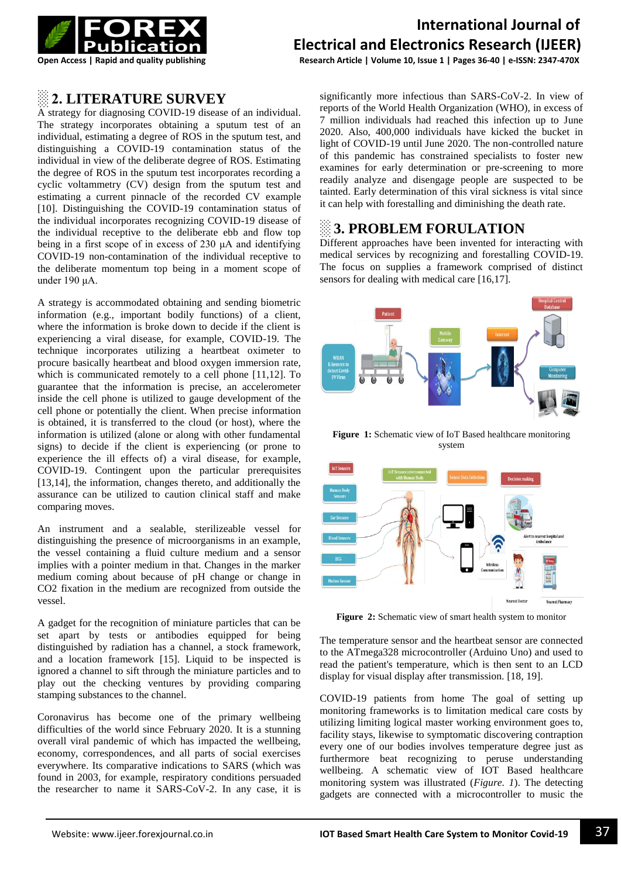

# **International Journal of Electrical and Electronics Research (IJEER)**

**Open Access | Rapid and quality publishing Research Article | Volume 10, Issue 1 | Pages 36-40 | e-ISSN: 2347-470X**

#### **░ 2. LITERATURE SURVEY**

A strategy for diagnosing COVID-19 disease of an individual. The strategy incorporates obtaining a sputum test of an individual, estimating a degree of ROS in the sputum test, and distinguishing a COVID-19 contamination status of the individual in view of the deliberate degree of ROS. Estimating the degree of ROS in the sputum test incorporates recording a cyclic voltammetry (CV) design from the sputum test and estimating a current pinnacle of the recorded CV example [10]. Distinguishing the COVID-19 contamination status of the individual incorporates recognizing COVID-19 disease of the individual receptive to the deliberate ebb and flow top being in a first scope of in excess of 230 μA and identifying COVID-19 non-contamination of the individual receptive to the deliberate momentum top being in a moment scope of under 190 μA.

A strategy is accommodated obtaining and sending biometric information (e.g., important bodily functions) of a client, where the information is broke down to decide if the client is experiencing a viral disease, for example, COVID-19. The technique incorporates utilizing a heartbeat oximeter to procure basically heartbeat and blood oxygen immersion rate, which is communicated remotely to a cell phone [11,12]. To guarantee that the information is precise, an accelerometer inside the cell phone is utilized to gauge development of the cell phone or potentially the client. When precise information is obtained, it is transferred to the cloud (or host), where the information is utilized (alone or along with other fundamental signs) to decide if the client is experiencing (or prone to experience the ill effects of) a viral disease, for example, COVID-19. Contingent upon the particular prerequisites [13,14], the information, changes thereto, and additionally the assurance can be utilized to caution clinical staff and make comparing moves.

An instrument and a sealable, sterilizeable vessel for distinguishing the presence of microorganisms in an example, the vessel containing a fluid culture medium and a sensor implies with a pointer medium in that. Changes in the marker medium coming about because of pH change or change in CO2 fixation in the medium are recognized from outside the vessel.

A gadget for the recognition of miniature particles that can be set apart by tests or antibodies equipped for being distinguished by radiation has a channel, a stock framework, and a location framework [15]. Liquid to be inspected is ignored a channel to sift through the miniature particles and to play out the checking ventures by providing comparing stamping substances to the channel.

Coronavirus has become one of the primary wellbeing difficulties of the world since February 2020. It is a stunning overall viral pandemic of which has impacted the wellbeing, economy, correspondences, and all parts of social exercises everywhere. Its comparative indications to SARS (which was found in 2003, for example, respiratory conditions persuaded the researcher to name it SARS-CoV-2. In any case, it is

significantly more infectious than SARS-CoV-2. In view of reports of the World Health Organization (WHO), in excess of 7 million individuals had reached this infection up to June 2020. Also, 400,000 individuals have kicked the bucket in light of COVID-19 until June 2020. The non-controlled nature of this pandemic has constrained specialists to foster new examines for early determination or pre-screening to more readily analyze and disengage people are suspected to be tainted. Early determination of this viral sickness is vital since it can help with forestalling and diminishing the death rate.

## **░ 3. PROBLEM FORULATION**

Different approaches have been invented for interacting with medical services by recognizing and forestalling COVID-19. The focus on supplies a framework comprised of distinct sensors for dealing with medical care [16,17].



Figure 1: Schematic view of IoT Based healthcare monitoring system



**Figure 2:** Schematic view of smart health system to monitor

The temperature sensor and the heartbeat sensor are connected to the ATmega328 microcontroller (Arduino Uno) and used to read the patient's temperature, which is then sent to an LCD display for visual display after transmission. [18, 19].

COVID-19 patients from home The goal of setting up monitoring frameworks is to limitation medical care costs by utilizing limiting logical master working environment goes to, facility stays, likewise to symptomatic discovering contraption every one of our bodies involves temperature degree just as furthermore beat recognizing to peruse understanding wellbeing. A schematic view of IOT Based healthcare monitoring system was illustrated (*Figure. 1*). The detecting gadgets are connected with a microcontroller to music the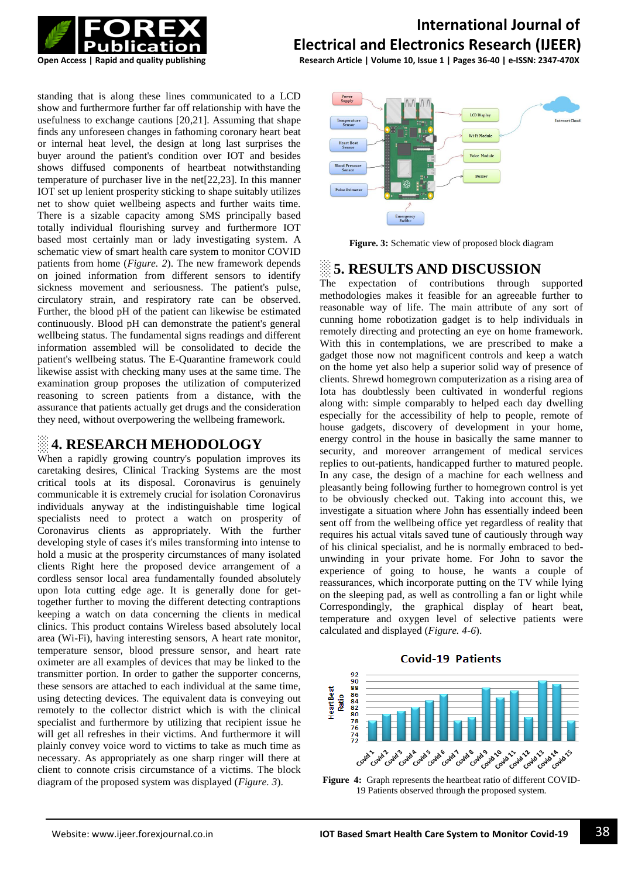

# **International Journal of Electrical and Electronics Research (IJEER)**

**Open Access | Rapid and quality publishing Research Article | Volume 10, Issue 1 | Pages 36-40 | e-ISSN: 2347-470X**

standing that is along these lines communicated to a LCD show and furthermore further far off relationship with have the usefulness to exchange cautions [20,21]. Assuming that shape finds any unforeseen changes in fathoming coronary heart beat or internal heat level, the design at long last surprises the buyer around the patient's condition over IOT and besides shows diffused components of heartbeat notwithstanding temperature of purchaser live in the net[22,23]. In this manner IOT set up lenient prosperity sticking to shape suitably utilizes net to show quiet wellbeing aspects and further waits time. There is a sizable capacity among SMS principally based totally individual flourishing survey and furthermore IOT based most certainly man or lady investigating system. A schematic view of smart health care system to monitor COVID patients from home (*Figure. 2*). The new framework depends on joined information from different sensors to identify sickness movement and seriousness. The patient's pulse, circulatory strain, and respiratory rate can be observed. Further, the blood pH of the patient can likewise be estimated continuously. Blood pH can demonstrate the patient's general wellbeing status. The fundamental signs readings and different information assembled will be consolidated to decide the patient's wellbeing status. The E-Quarantine framework could likewise assist with checking many uses at the same time. The examination group proposes the utilization of computerized reasoning to screen patients from a distance, with the assurance that patients actually get drugs and the consideration they need, without overpowering the wellbeing framework.

#### ░ **4. RESEARCH MEHODOLOGY**

When a rapidly growing country's population improves its caretaking desires, Clinical Tracking Systems are the most critical tools at its disposal. Coronavirus is genuinely communicable it is extremely crucial for isolation Coronavirus individuals anyway at the indistinguishable time logical specialists need to protect a watch on prosperity of Coronavirus clients as appropriately. With the further developing style of cases it's miles transforming into intense to hold a music at the prosperity circumstances of many isolated clients Right here the proposed device arrangement of a cordless sensor local area fundamentally founded absolutely upon Iota cutting edge age. It is generally done for gettogether further to moving the different detecting contraptions keeping a watch on data concerning the clients in medical clinics. This product contains Wireless based absolutely local area (Wi-Fi), having interesting sensors, A heart rate monitor, temperature sensor, blood pressure sensor, and heart rate oximeter are all examples of devices that may be linked to the transmitter portion. In order to gather the supporter concerns, these sensors are attached to each individual at the same time, using detecting devices. The equivalent data is conveying out remotely to the collector district which is with the clinical specialist and furthermore by utilizing that recipient issue he will get all refreshes in their victims. And furthermore it will plainly convey voice word to victims to take as much time as necessary. As appropriately as one sharp ringer will there at client to connote crisis circumstance of a victims. The block diagram of the proposed system was displayed (*Figure. 3*).



**Figure. 3:** Schematic view of proposed block diagram

## ░ **5. RESULTS AND DISCUSSION**

The expectation of contributions through supported methodologies makes it feasible for an agreeable further to reasonable way of life. The main attribute of any sort of cunning home robotization gadget is to help individuals in remotely directing and protecting an eye on home framework. With this in contemplations, we are prescribed to make a gadget those now not magnificent controls and keep a watch on the home yet also help a superior solid way of presence of clients. Shrewd homegrown computerization as a rising area of Iota has doubtlessly been cultivated in wonderful regions along with: simple comparably to helped each day dwelling especially for the accessibility of help to people, remote of house gadgets, discovery of development in your home, energy control in the house in basically the same manner to security, and moreover arrangement of medical services replies to out-patients, handicapped further to matured people. In any case, the design of a machine for each wellness and pleasantly being following further to homegrown control is yet to be obviously checked out. Taking into account this, we investigate a situation where John has essentially indeed been sent off from the wellbeing office yet regardless of reality that requires his actual vitals saved tune of cautiously through way of his clinical specialist, and he is normally embraced to bedunwinding in your private home. For John to savor the experience of going to house, he wants a couple of reassurances, which incorporate putting on the TV while lying on the sleeping pad, as well as controlling a fan or light while Correspondingly, the graphical display of heart beat, temperature and oxygen level of selective patients were calculated and displayed (*Figure. 4-6*).





**Figure 4:** Graph represents the heartbeat ratio of different COVID-19 Patients observed through the proposed system.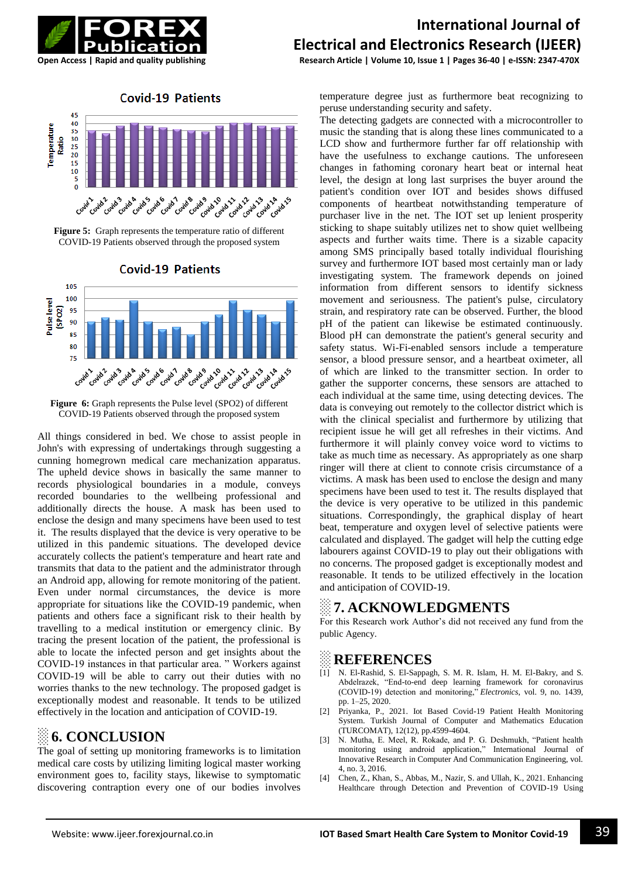

**Covid-19 Patients** 



**Figure 5:** Graph represents the temperature ratio of different COVID-19 Patients observed through the proposed system



**Figure 6:** Graph represents the Pulse level (SPO2) of different COVID-19 Patients observed through the proposed system

All things considered in bed. We chose to assist people in John's with expressing of undertakings through suggesting a cunning homegrown medical care mechanization apparatus. The upheld device shows in basically the same manner to records physiological boundaries in a module, conveys recorded boundaries to the wellbeing professional and additionally directs the house. A mask has been used to enclose the design and many specimens have been used to test it. The results displayed that the device is very operative to be utilized in this pandemic situations. The developed device accurately collects the patient's temperature and heart rate and transmits that data to the patient and the administrator through an Android app, allowing for remote monitoring of the patient. Even under normal circumstances, the device is more appropriate for situations like the COVID-19 pandemic, when patients and others face a significant risk to their health by travelling to a medical institution or emergency clinic. By tracing the present location of the patient, the professional is able to locate the infected person and get insights about the COVID-19 instances in that particular area. " Workers against COVID-19 will be able to carry out their duties with no worries thanks to the new technology. The proposed gadget is exceptionally modest and reasonable. It tends to be utilized effectively in the location and anticipation of COVID-19.

### ░ **6. CONCLUSION**

The goal of setting up monitoring frameworks is to limitation medical care costs by utilizing limiting logical master working environment goes to, facility stays, likewise to symptomatic discovering contraption every one of our bodies involves

# **International Journal of Electrical and Electronics Research (IJEER)**

**Open Access | Rapid and quality publishing Research Article | Volume 10, Issue 1 | Pages 36-40 | e-ISSN: 2347-470X**

temperature degree just as furthermore beat recognizing to peruse understanding security and safety.

The detecting gadgets are connected with a microcontroller to music the standing that is along these lines communicated to a LCD show and furthermore further far off relationship with have the usefulness to exchange cautions. The unforeseen changes in fathoming coronary heart beat or internal heat level, the design at long last surprises the buyer around the patient's condition over IOT and besides shows diffused components of heartbeat notwithstanding temperature of purchaser live in the net. The IOT set up lenient prosperity sticking to shape suitably utilizes net to show quiet wellbeing aspects and further waits time. There is a sizable capacity among SMS principally based totally individual flourishing survey and furthermore IOT based most certainly man or lady investigating system. The framework depends on joined information from different sensors to identify sickness movement and seriousness. The patient's pulse, circulatory strain, and respiratory rate can be observed. Further, the blood pH of the patient can likewise be estimated continuously. Blood pH can demonstrate the patient's general security and safety status. Wi-Fi-enabled sensors include a temperature sensor, a blood pressure sensor, and a heartbeat oximeter, all of which are linked to the transmitter section. In order to gather the supporter concerns, these sensors are attached to each individual at the same time, using detecting devices. The data is conveying out remotely to the collector district which is with the clinical specialist and furthermore by utilizing that recipient issue he will get all refreshes in their victims. And furthermore it will plainly convey voice word to victims to take as much time as necessary. As appropriately as one sharp ringer will there at client to connote crisis circumstance of a victims. A mask has been used to enclose the design and many specimens have been used to test it. The results displayed that the device is very operative to be utilized in this pandemic situations. Correspondingly, the graphical display of heart beat, temperature and oxygen level of selective patients were calculated and displayed. The gadget will help the cutting edge labourers against COVID-19 to play out their obligations with no concerns. The proposed gadget is exceptionally modest and reasonable. It tends to be utilized effectively in the location and anticipation of COVID-19.

# ░ **7. ACKNOWLEDGMENTS**

For this Research work Author's did not received any fund from the public Agency.

### ░ **REFERENCES**

- [1] N. El-Rashid, S. El-Sappagh, S. M. R. Islam, H. M. El-Bakry, and S. Abdelrazek, "End-to-end deep learning framework for coronavirus (COVID-19) detection and monitoring," *Electronics*, vol. 9, no. 1439, pp. 1–25, 2020.
- [2] Priyanka, P., 2021. Iot Based Covid-19 Patient Health Monitoring System. Turkish Journal of Computer and Mathematics Education (TURCOMAT), 12(12), pp.4599-4604.
- [3] N. Mutha, E. Meel, R. Rokade, and P. G. Deshmukh, "Patient health monitoring using android application," International Journal of Innovative Research in Computer And Communication Engineering, vol. 4, no. 3, 2016.
- [4] Chen, Z., Khan, S., Abbas, M., Nazir, S. and Ullah, K., 2021. Enhancing Healthcare through Detection and Prevention of COVID-19 Using